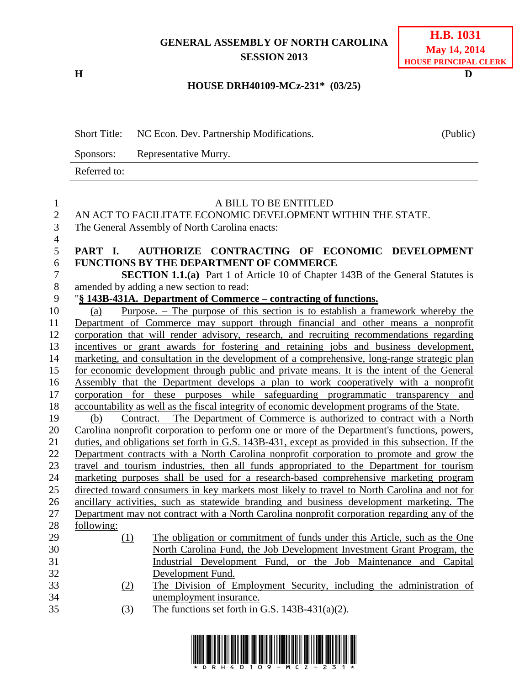## **GENERAL ASSEMBLY OF NORTH CAROLINA SESSION 2013**

**H D**

## **HOUSE DRH40109-MCz-231\* (03/25)**

|                  | <b>Short Title:</b><br>NC Econ. Dev. Partnership Modifications.                                   | (Public) |
|------------------|---------------------------------------------------------------------------------------------------|----------|
|                  | Representative Murry.<br>Sponsors:                                                                |          |
|                  | Referred to:                                                                                      |          |
| $\mathbf{1}$     | A BILL TO BE ENTITLED                                                                             |          |
| $\overline{2}$   | AN ACT TO FACILITATE ECONOMIC DEVELOPMENT WITHIN THE STATE.                                       |          |
| 3                | The General Assembly of North Carolina enacts:                                                    |          |
| $\overline{4}$   |                                                                                                   |          |
| 5                | AUTHORIZE CONTRACTING OF ECONOMIC DEVELOPMENT<br>PART I.                                          |          |
| 6                | <b>FUNCTIONS BY THE DEPARTMENT OF COMMERCE</b>                                                    |          |
| $\boldsymbol{7}$ | <b>SECTION 1.1.(a)</b> Part 1 of Article 10 of Chapter 143B of the General Statutes is            |          |
| $8\,$            | amended by adding a new section to read:                                                          |          |
| 9                | "§ 143B-431A. Department of Commerce – contracting of functions.                                  |          |
| 10               | Purpose. $-$ The purpose of this section is to establish a framework whereby the<br>(a)           |          |
| 11               | Department of Commerce may support through financial and other means a nonprofit                  |          |
| 12               | corporation that will render advisory, research, and recruiting recommendations regarding         |          |
| 13               | incentives or grant awards for fostering and retaining jobs and business development,             |          |
| 14               | marketing, and consultation in the development of a comprehensive, long-range strategic plan      |          |
| 15               | for economic development through public and private means. It is the intent of the General        |          |
| 16               | Assembly that the Department develops a plan to work cooperatively with a nonprofit               |          |
| 17               | corporation for these purposes while safeguarding programmatic transparency and                   |          |
| 18               | accountability as well as the fiscal integrity of economic development programs of the State.     |          |
| 19               | <u>Contract. – The Department of Commerce is authorized to contract with a North</u><br>(b)       |          |
| 20               | Carolina nonprofit corporation to perform one or more of the Department's functions, powers,      |          |
| 21               | duties, and obligations set forth in G.S. 143B-431, except as provided in this subsection. If the |          |
| 22               | Department contracts with a North Carolina nonprofit corporation to promote and grow the          |          |
| 23               | travel and tourism industries, then all funds appropriated to the Department for tourism          |          |
| 24               | marketing purposes shall be used for a research-based comprehensive marketing program             |          |
| 25               | directed toward consumers in key markets most likely to travel to North Carolina and not for      |          |
| 26               | ancillary activities, such as statewide branding and business development marketing. The          |          |
| 27               | Department may not contract with a North Carolina nonprofit corporation regarding any of the      |          |
| 28               | following:                                                                                        |          |
| 29               | The obligation or commitment of funds under this Article, such as the One<br>(1)                  |          |
| 30               | North Carolina Fund, the Job Development Investment Grant Program, the                            |          |
| 31               | Industrial Development Fund, or the Job Maintenance and Capital                                   |          |
| 32<br>33         | Development Fund.                                                                                 |          |
| 34               | The Division of Employment Security, including the administration of<br>(2)                       |          |
| 35               | unemployment insurance.<br>The functions set forth in G.S. $143B-431(a)(2)$ .<br>(3)              |          |
|                  |                                                                                                   |          |

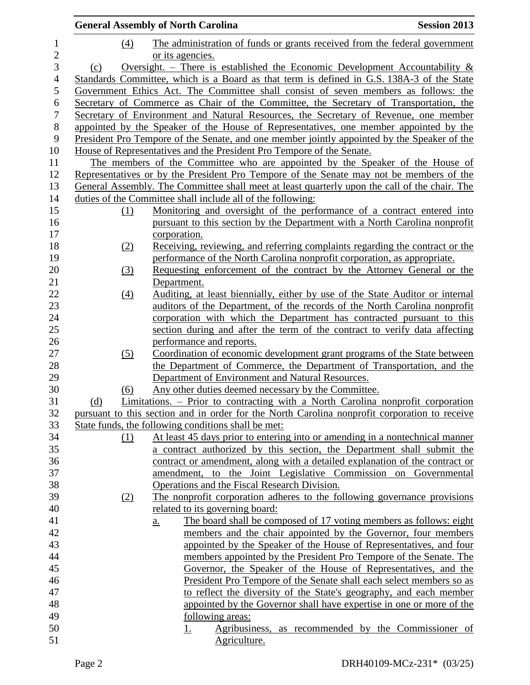|                |                  | <b>General Assembly of North Carolina</b>                                                              | <b>Session 2013</b>                                 |
|----------------|------------------|--------------------------------------------------------------------------------------------------------|-----------------------------------------------------|
| $\mathbf{1}$   | (4)              | The administration of funds or grants received from the federal government                             |                                                     |
| $\mathbf{2}$   |                  | or its agencies.                                                                                       |                                                     |
| 3              | (c)              | Oversight. – There is established the Economic Development Accountability $\&$                         |                                                     |
| $\overline{4}$ |                  | Standards Committee, which is a Board as that term is defined in G.S. 138A-3 of the State              |                                                     |
| $\mathfrak s$  |                  | Government Ethics Act. The Committee shall consist of seven members as follows: the                    |                                                     |
| 6              |                  | Secretary of Commerce as Chair of the Committee, the Secretary of Transportation, the                  |                                                     |
| $\tau$         |                  | Secretary of Environment and Natural Resources, the Secretary of Revenue, one member                   |                                                     |
| $\,8\,$        |                  | appointed by the Speaker of the House of Representatives, one member appointed by the                  |                                                     |
| 9              |                  | President Pro Tempore of the Senate, and one member jointly appointed by the Speaker of the            |                                                     |
| 10             |                  | House of Representatives and the President Pro Tempore of the Senate.                                  |                                                     |
| 11             |                  | The members of the Committee who are appointed by the Speaker of the House of                          |                                                     |
| 12             |                  | Representatives or by the President Pro Tempore of the Senate may not be members of the                |                                                     |
| 13             |                  | General Assembly. The Committee shall meet at least quarterly upon the call of the chair. The          |                                                     |
| 14             |                  | duties of the Committee shall include all of the following:                                            |                                                     |
| 15             | (1)              | Monitoring and oversight of the performance of a contract entered into                                 |                                                     |
| 16             |                  | pursuant to this section by the Department with a North Carolina nonprofit                             |                                                     |
| 17             |                  | corporation.                                                                                           |                                                     |
| 18             | (2)              | Receiving, reviewing, and referring complaints regarding the contract or the                           |                                                     |
| 19             |                  | performance of the North Carolina nonprofit corporation, as appropriate.                               |                                                     |
| 20             | $\left(3\right)$ | Requesting enforcement of the contract by the Attorney General or the                                  |                                                     |
| 21             |                  | Department.                                                                                            |                                                     |
| 22             | (4)              | Auditing, at least biennially, either by use of the State Auditor or internal                          |                                                     |
| 23             |                  | auditors of the Department, of the records of the North Carolina nonprofit                             |                                                     |
| 24<br>25       |                  | corporation with which the Department has contracted pursuant to this                                  |                                                     |
| 26             |                  | section during and after the term of the contract to verify data affecting<br>performance and reports. |                                                     |
| 27             | (5)              | Coordination of economic development grant programs of the State between                               |                                                     |
| 28             |                  | the Department of Commerce, the Department of Transportation, and the                                  |                                                     |
| 29             |                  | Department of Environment and Natural Resources.                                                       |                                                     |
| 30             | (6)              | Any other duties deemed necessary by the Committee.                                                    |                                                     |
| 31             | (d)              | Limitations. – Prior to contracting with a North Carolina nonprofit corporation                        |                                                     |
| 32             |                  | pursuant to this section and in order for the North Carolina nonprofit corporation to receive          |                                                     |
| 33             |                  | State funds, the following conditions shall be met:                                                    |                                                     |
| 34             | (1)              | At least 45 days prior to entering into or amending in a nontechnical manner                           |                                                     |
| 35             |                  | a contract authorized by this section, the Department shall submit the                                 |                                                     |
| 36             |                  | contract or amendment, along with a detailed explanation of the contract or                            |                                                     |
| 37             |                  | amendment, to the Joint Legislative Commission on Governmental                                         |                                                     |
| 38             |                  | Operations and the Fiscal Research Division.                                                           |                                                     |
| 39             | (2)              | The nonprofit corporation adheres to the following governance provisions                               |                                                     |
| 40             |                  | related to its governing board:                                                                        |                                                     |
| 41             |                  | The board shall be composed of 17 voting members as follows: eight<br>$\underline{a}$ .                |                                                     |
| 42             |                  | members and the chair appointed by the Governor, four members                                          |                                                     |
| 43             |                  | appointed by the Speaker of the House of Representatives, and four                                     |                                                     |
| 44             |                  | members appointed by the President Pro Tempore of the Senate. The                                      |                                                     |
| 45             |                  | Governor, the Speaker of the House of Representatives, and the                                         |                                                     |
| 46             |                  | President Pro Tempore of the Senate shall each select members so as                                    |                                                     |
| 47             |                  | to reflect the diversity of the State's geography, and each member                                     |                                                     |
| 48             |                  | appointed by the Governor shall have expertise in one or more of the                                   |                                                     |
| 49             |                  | <u>following</u> areas:                                                                                |                                                     |
| 50             |                  | <u>1.</u>                                                                                              | Agribusiness, as recommended by the Commissioner of |
| 51             |                  | Agriculture.                                                                                           |                                                     |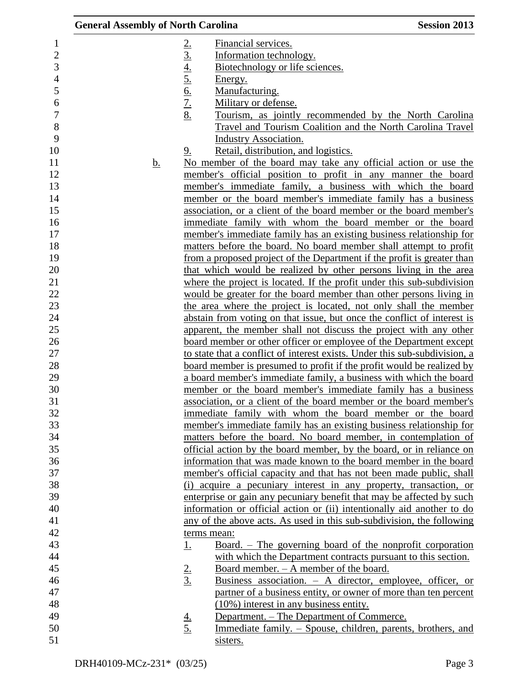| <b>General Assembly of North Carolina</b> |                                                                                                                                                                                                                                                                                                                                                                                                                                                                                                                                                                                                                                                                                                                                     | <b>Session 2013</b> |
|-------------------------------------------|-------------------------------------------------------------------------------------------------------------------------------------------------------------------------------------------------------------------------------------------------------------------------------------------------------------------------------------------------------------------------------------------------------------------------------------------------------------------------------------------------------------------------------------------------------------------------------------------------------------------------------------------------------------------------------------------------------------------------------------|---------------------|
| <u>b.</u>                                 | $\frac{2.}{3.4} \frac{4.}{5.6} \frac{6.}{7.8}$<br>Financial services.<br>Information technology.<br>Biotechnology or life sciences.<br>Energy.<br>Manufacturing.<br>Military or defense.<br>Tourism, as jointly recommended by the North Carolina<br>Travel and Tourism Coalition and the North Carolina Travel<br><b>Industry Association.</b><br>9.<br>Retail, distribution, and logistics.<br>No member of the board may take any official action or use the<br>member's official position to profit in any manner the board<br>member's immediate family, a business with which the board<br>member or the board member's immediate family has a business<br>association, or a client of the board member or the board member's |                     |
|                                           | immediate family with whom the board member or the board                                                                                                                                                                                                                                                                                                                                                                                                                                                                                                                                                                                                                                                                            |                     |
|                                           | member's immediate family has an existing business relationship for<br>matters before the board. No board member shall attempt to profit                                                                                                                                                                                                                                                                                                                                                                                                                                                                                                                                                                                            |                     |
|                                           | from a proposed project of the Department if the profit is greater than                                                                                                                                                                                                                                                                                                                                                                                                                                                                                                                                                                                                                                                             |                     |
|                                           | that which would be realized by other persons living in the area                                                                                                                                                                                                                                                                                                                                                                                                                                                                                                                                                                                                                                                                    |                     |
|                                           | where the project is located. If the profit under this sub-subdivision                                                                                                                                                                                                                                                                                                                                                                                                                                                                                                                                                                                                                                                              |                     |
|                                           | would be greater for the board member than other persons living in                                                                                                                                                                                                                                                                                                                                                                                                                                                                                                                                                                                                                                                                  |                     |
|                                           | the area where the project is located, not only shall the member                                                                                                                                                                                                                                                                                                                                                                                                                                                                                                                                                                                                                                                                    |                     |
|                                           | abstain from voting on that issue, but once the conflict of interest is<br>apparent, the member shall not discuss the project with any other                                                                                                                                                                                                                                                                                                                                                                                                                                                                                                                                                                                        |                     |
|                                           | <u>board member or other officer or employee of the Department except</u>                                                                                                                                                                                                                                                                                                                                                                                                                                                                                                                                                                                                                                                           |                     |
|                                           | to state that a conflict of interest exists. Under this sub-subdivision, a                                                                                                                                                                                                                                                                                                                                                                                                                                                                                                                                                                                                                                                          |                     |
|                                           | <u>board member is presumed to profit if the profit would be realized by</u>                                                                                                                                                                                                                                                                                                                                                                                                                                                                                                                                                                                                                                                        |                     |
|                                           | a board member's immediate family, a business with which the board                                                                                                                                                                                                                                                                                                                                                                                                                                                                                                                                                                                                                                                                  |                     |
|                                           | member or the board member's immediate family has a business                                                                                                                                                                                                                                                                                                                                                                                                                                                                                                                                                                                                                                                                        |                     |
|                                           | association, or a client of the board member or the board member's                                                                                                                                                                                                                                                                                                                                                                                                                                                                                                                                                                                                                                                                  |                     |
|                                           | immediate family with whom the board member or the board                                                                                                                                                                                                                                                                                                                                                                                                                                                                                                                                                                                                                                                                            |                     |
|                                           | member's immediate family has an existing business relationship for                                                                                                                                                                                                                                                                                                                                                                                                                                                                                                                                                                                                                                                                 |                     |
|                                           | matters before the board. No board member, in contemplation of                                                                                                                                                                                                                                                                                                                                                                                                                                                                                                                                                                                                                                                                      |                     |
|                                           | official action by the board member, by the board, or in reliance on                                                                                                                                                                                                                                                                                                                                                                                                                                                                                                                                                                                                                                                                |                     |
|                                           | information that was made known to the board member in the board                                                                                                                                                                                                                                                                                                                                                                                                                                                                                                                                                                                                                                                                    |                     |
|                                           | member's official capacity and that has not been made public, shall                                                                                                                                                                                                                                                                                                                                                                                                                                                                                                                                                                                                                                                                 |                     |
|                                           | (i) acquire a pecuniary interest in any property, transaction, or                                                                                                                                                                                                                                                                                                                                                                                                                                                                                                                                                                                                                                                                   |                     |
|                                           | enterprise or gain any pecuniary benefit that may be affected by such<br>information or official action or (ii) intentionally aid another to do                                                                                                                                                                                                                                                                                                                                                                                                                                                                                                                                                                                     |                     |
|                                           | any of the above acts. As used in this sub-subdivision, the following                                                                                                                                                                                                                                                                                                                                                                                                                                                                                                                                                                                                                                                               |                     |
|                                           | terms mean:                                                                                                                                                                                                                                                                                                                                                                                                                                                                                                                                                                                                                                                                                                                         |                     |
|                                           | <u>Board. – The governing board of the nonprofit corporation</u><br><u>1.</u>                                                                                                                                                                                                                                                                                                                                                                                                                                                                                                                                                                                                                                                       |                     |
|                                           | with which the Department contracts pursuant to this section.                                                                                                                                                                                                                                                                                                                                                                                                                                                                                                                                                                                                                                                                       |                     |
|                                           | Board member. - A member of the board.                                                                                                                                                                                                                                                                                                                                                                                                                                                                                                                                                                                                                                                                                              |                     |
|                                           | $\frac{2}{3}$<br>Business association. - A director, employee, officer, or                                                                                                                                                                                                                                                                                                                                                                                                                                                                                                                                                                                                                                                          |                     |
|                                           | partner of a business entity, or owner of more than ten percent                                                                                                                                                                                                                                                                                                                                                                                                                                                                                                                                                                                                                                                                     |                     |
|                                           | $(10\%)$ interest in any business entity.                                                                                                                                                                                                                                                                                                                                                                                                                                                                                                                                                                                                                                                                                           |                     |
|                                           | Department. – The Department of Commerce.<br>$\frac{4}{5}$                                                                                                                                                                                                                                                                                                                                                                                                                                                                                                                                                                                                                                                                          |                     |
|                                           | Immediate family. – Spouse, children, parents, brothers, and                                                                                                                                                                                                                                                                                                                                                                                                                                                                                                                                                                                                                                                                        |                     |
|                                           | sisters.                                                                                                                                                                                                                                                                                                                                                                                                                                                                                                                                                                                                                                                                                                                            |                     |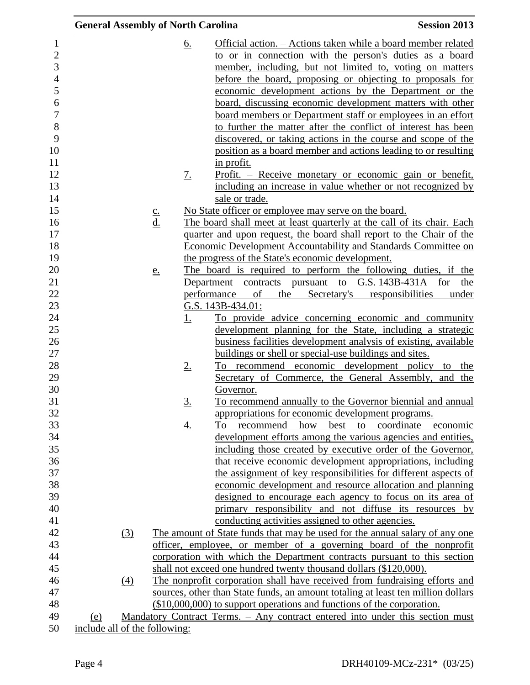| <b>General Assembly of North Carolina</b> |               |                   | <b>Session 2013</b>                                                              |
|-------------------------------------------|---------------|-------------------|----------------------------------------------------------------------------------|
|                                           |               | <u>6.</u>         | Official action. – Actions taken while a board member related                    |
|                                           |               |                   | to or in connection with the person's duties as a board                          |
|                                           |               |                   | member, including, but not limited to, voting on matters                         |
|                                           |               |                   | before the board, proposing or objecting to proposals for                        |
|                                           |               |                   | economic development actions by the Department or the                            |
|                                           |               |                   | <u>board, discussing economic development matters with other</u>                 |
|                                           |               |                   | board members or Department staff or employees in an effort                      |
|                                           |               |                   | to further the matter after the conflict of interest has been                    |
|                                           |               |                   | discovered, or taking actions in the course and scope of the                     |
|                                           |               |                   | position as a board member and actions leading to or resulting                   |
|                                           |               |                   | <u>in profit.</u>                                                                |
|                                           |               | $\underline{7}$ . | <u>Profit. – Receive monetary or economic gain or benefit,</u>                   |
|                                           |               |                   |                                                                                  |
|                                           |               |                   | including an increase in value whether or not recognized by                      |
|                                           |               |                   | sale or trade.                                                                   |
|                                           | $\frac{c}{d}$ |                   | No State officer or employee may serve on the board.                             |
|                                           |               |                   | The board shall meet at least quarterly at the call of its chair. Each           |
|                                           |               |                   | quarter and upon request, the board shall report to the Chair of the             |
|                                           |               |                   | <b>Economic Development Accountability and Standards Committee on</b>            |
|                                           |               |                   | the progress of the State's economic development.                                |
|                                           | e.            |                   | The board is required to perform the following duties, if the                    |
|                                           |               |                   | Department contracts pursuant to G.S. 143B-431A for<br>the                       |
|                                           |               |                   | performance<br>of<br>the<br>Secretary's responsibilities<br>under                |
|                                           |               |                   | G.S. 143B-434.01:                                                                |
|                                           |               | <u>1.</u>         | To provide advice concerning economic and community                              |
|                                           |               |                   | development planning for the State, including a strategic                        |
|                                           |               |                   | business facilities development analysis of existing, available                  |
|                                           |               |                   | buildings or shell or special-use buildings and sites.                           |
|                                           |               | $2_{\cdot}$       | To recommend economic development policy to the                                  |
|                                           |               |                   | Secretary of Commerce, the General Assembly, and the                             |
|                                           |               |                   | Governor.                                                                        |
|                                           |               | 3.                | To recommend annually to the Governor biennial and annual                        |
|                                           |               |                   | appropriations for economic development programs.                                |
|                                           |               | <u>4.</u>         | how<br>best to coordinate economic<br>recommend<br>To                            |
|                                           |               |                   | development efforts among the various agencies and entities,                     |
|                                           |               |                   | including those created by executive order of the Governor,                      |
|                                           |               |                   | that receive economic development appropriations, including                      |
|                                           |               |                   | the assignment of key responsibilities for different aspects of                  |
|                                           |               |                   | economic development and resource allocation and planning                        |
|                                           |               |                   | designed to encourage each agency to focus on its area of                        |
|                                           |               |                   | primary responsibility and not diffuse its resources by                          |
|                                           |               |                   | conducting activities assigned to other agencies.                                |
| (3)                                       |               |                   | The amount of State funds that may be used for the annual salary of any one      |
|                                           |               |                   | officer, employee, or member of a governing board of the nonprofit               |
|                                           |               |                   | corporation with which the Department contracts pursuant to this section         |
|                                           |               |                   | shall not exceed one hundred twenty thousand dollars (\$120,000).                |
| (4)                                       |               |                   | The nonprofit corporation shall have received from fundraising efforts and       |
|                                           |               |                   | sources, other than State funds, an amount totaling at least ten million dollars |
|                                           |               |                   | (\$10,000,000) to support operations and functions of the corporation.           |
| (e)                                       |               |                   | Mandatory Contract Terms. - Any contract entered into under this section must    |
| include all of the following:             |               |                   |                                                                                  |

50 <u>include all of the following:</u>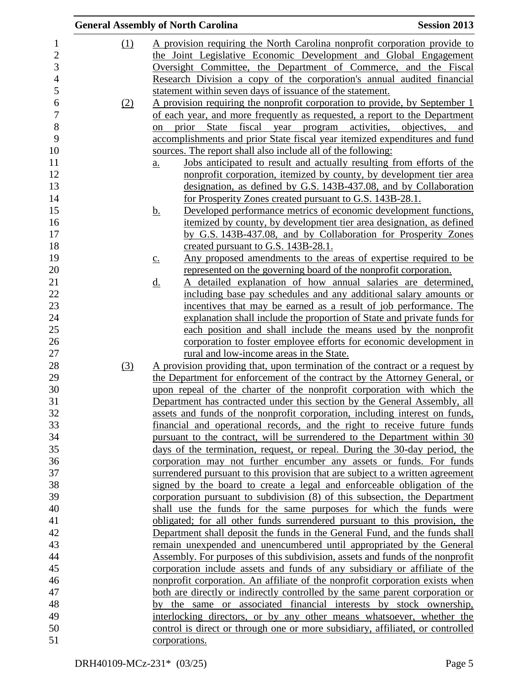|                  |            | <b>General Assembly of North Carolina</b>                                                                                                                 | <b>Session 2013</b> |
|------------------|------------|-----------------------------------------------------------------------------------------------------------------------------------------------------------|---------------------|
| 1                | (1)        | A provision requiring the North Carolina nonprofit corporation provide to                                                                                 |                     |
| $\overline{c}$   |            | the Joint Legislative Economic Development and Global Engagement                                                                                          |                     |
| 3                |            | Oversight Committee, the Department of Commerce, and the Fiscal                                                                                           |                     |
| $\overline{4}$   |            | Research Division a copy of the corporation's annual audited financial                                                                                    |                     |
| 5                |            | statement within seven days of issuance of the statement.                                                                                                 |                     |
| 6                | <u>(2)</u> | A provision requiring the nonprofit corporation to provide, by September 1                                                                                |                     |
| $\boldsymbol{7}$ |            | of each year, and more frequently as requested, a report to the Department                                                                                |                     |
| $8\,$            |            | prior State fiscal year program activities, objectives, and<br>on                                                                                         |                     |
| 9                |            | accomplishments and prior State fiscal year itemized expenditures and fund                                                                                |                     |
| 10               |            | sources. The report shall also include all of the following:                                                                                              |                     |
| 11               |            | Jobs anticipated to result and actually resulting from efforts of the<br>$\underline{a}$ .                                                                |                     |
| 12               |            | nonprofit corporation, itemized by county, by development tier area                                                                                       |                     |
| 13               |            | designation, as defined by G.S. 143B-437.08, and by Collaboration                                                                                         |                     |
| 14               |            | for Prosperity Zones created pursuant to G.S. 143B-28.1.                                                                                                  |                     |
| 15               |            | Developed performance metrics of economic development functions,<br><u>b.</u>                                                                             |                     |
| 16               |            | itemized by county, by development tier area designation, as defined                                                                                      |                     |
| 17               |            | by G.S. 143B-437.08, and by Collaboration for Prosperity Zones                                                                                            |                     |
| 18               |            | created pursuant to G.S. 143B-28.1.                                                                                                                       |                     |
| 19               |            | Any proposed amendments to the areas of expertise required to be<br>$\underline{c}$ .                                                                     |                     |
| 20               |            | represented on the governing board of the nonprofit corporation.                                                                                          |                     |
| 21               |            | A detailed explanation of how annual salaries are determined,<br>$\underline{\mathrm{d}}$ .                                                               |                     |
| 22               |            | including base pay schedules and any additional salary amounts or                                                                                         |                     |
| 23               |            | incentives that may be earned as a result of job performance. The                                                                                         |                     |
| 24               |            | explanation shall include the proportion of State and private funds for                                                                                   |                     |
| 25               |            | each position and shall include the means used by the nonprofit                                                                                           |                     |
| 26               |            | corporation to foster employee efforts for economic development in                                                                                        |                     |
| 27               |            | rural and low-income areas in the State.                                                                                                                  |                     |
| 28               | (3)        | <u>A provision providing that, upon termination of the contract or a request by</u>                                                                       |                     |
| 29               |            | the Department for enforcement of the contract by the Attorney General, or                                                                                |                     |
| 30               |            | upon repeal of the charter of the nonprofit corporation with which the                                                                                    |                     |
| 31               |            | Department has contracted under this section by the General Assembly, all                                                                                 |                     |
| 32               |            | assets and funds of the nonprofit corporation, including interest on funds,                                                                               |                     |
| 33               |            | financial and operational records, and the right to receive future funds                                                                                  |                     |
| 34               |            | pursuant to the contract, will be surrendered to the Department within 30                                                                                 |                     |
| 35               |            | days of the termination, request, or repeal. During the 30-day period, the                                                                                |                     |
| 36<br>37         |            | corporation may not further encumber any assets or funds. For funds                                                                                       |                     |
| 38               |            | surrendered pursuant to this provision that are subject to a written agreement<br>signed by the board to create a legal and enforceable obligation of the |                     |
| 39               |            | corporation pursuant to subdivision (8) of this subsection, the Department                                                                                |                     |
| 40               |            | shall use the funds for the same purposes for which the funds were                                                                                        |                     |
| 41               |            | obligated; for all other funds surrendered pursuant to this provision, the                                                                                |                     |
| 42               |            | Department shall deposit the funds in the General Fund, and the funds shall                                                                               |                     |
| 43               |            | remain unexpended and unencumbered until appropriated by the General                                                                                      |                     |
| 44               |            | Assembly. For purposes of this subdivision, assets and funds of the nonprofit                                                                             |                     |
| 45               |            | corporation include assets and funds of any subsidiary or affiliate of the                                                                                |                     |
| 46               |            | nonprofit corporation. An affiliate of the nonprofit corporation exists when                                                                              |                     |
| 47               |            | both are directly or indirectly controlled by the same parent corporation or                                                                              |                     |
| 48               |            | the same or associated financial interests by stock ownership,<br>bv                                                                                      |                     |
| 49               |            | interlocking directors, or by any other means whatsoever, whether the                                                                                     |                     |
| 50               |            | control is direct or through one or more subsidiary, affiliated, or controlled                                                                            |                     |
| 51               |            | corporations.                                                                                                                                             |                     |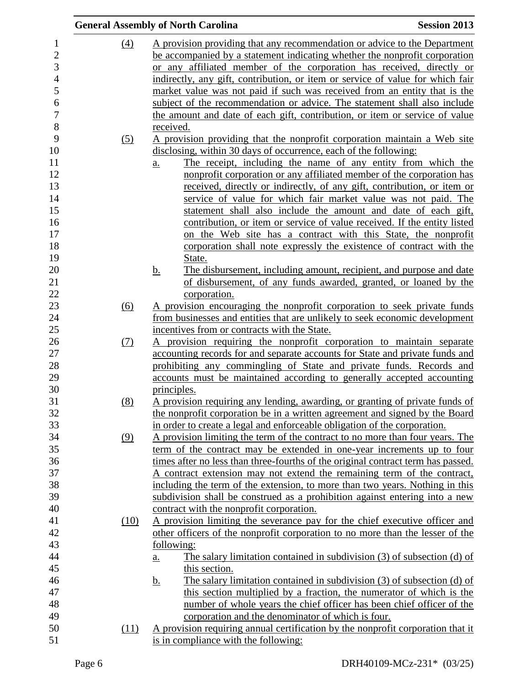|                  | <b>General Assembly of North Carolina</b>                                                                                                  | <b>Session 2013</b> |
|------------------|--------------------------------------------------------------------------------------------------------------------------------------------|---------------------|
| (4)              | A provision providing that any recommendation or advice to the Department                                                                  |                     |
|                  | be accompanied by a statement indicating whether the nonprofit corporation                                                                 |                     |
|                  | or any affiliated member of the corporation has received, directly or                                                                      |                     |
|                  | indirectly, any gift, contribution, or item or service of value for which fair                                                             |                     |
|                  | market value was not paid if such was received from an entity that is the                                                                  |                     |
|                  | subject of the recommendation or advice. The statement shall also include                                                                  |                     |
|                  | the amount and date of each gift, contribution, or item or service of value                                                                |                     |
|                  | received.                                                                                                                                  |                     |
| (5)              | A provision providing that the nonprofit corporation maintain a Web site                                                                   |                     |
|                  | disclosing, within 30 days of occurrence, each of the following:                                                                           |                     |
|                  | The receipt, including the name of any entity from which the<br>a.                                                                         |                     |
|                  | nonprofit corporation or any affiliated member of the corporation has                                                                      |                     |
|                  | received, directly or indirectly, of any gift, contribution, or item or                                                                    |                     |
|                  | service of value for which fair market value was not paid. The                                                                             |                     |
|                  | statement shall also include the amount and date of each gift,<br>contribution, or item or service of value received. If the entity listed |                     |
|                  | on the Web site has a contract with this State, the nonprofit                                                                              |                     |
|                  | corporation shall note expressly the existence of contract with the                                                                        |                     |
|                  | State.                                                                                                                                     |                     |
|                  | The disbursement, including amount, recipient, and purpose and date<br><u>b.</u>                                                           |                     |
|                  | of disbursement, of any funds awarded, granted, or loaned by the                                                                           |                     |
|                  | corporation.                                                                                                                               |                     |
| $\overline{(6)}$ | A provision encouraging the nonprofit corporation to seek private funds                                                                    |                     |
|                  | from businesses and entities that are unlikely to seek economic development                                                                |                     |
|                  | incentives from or contracts with the State.                                                                                               |                     |
| (7)              | A provision requiring the nonprofit corporation to maintain separate                                                                       |                     |
|                  | accounting records for and separate accounts for State and private funds and                                                               |                     |
|                  | prohibiting any commingling of State and private funds. Records and                                                                        |                     |
|                  | accounts must be maintained according to generally accepted accounting                                                                     |                     |
|                  | principles.                                                                                                                                |                     |
| (8)              | A provision requiring any lending, awarding, or granting of private funds of                                                               |                     |
|                  | the nonprofit corporation be in a written agreement and signed by the Board                                                                |                     |
|                  | in order to create a legal and enforceable obligation of the corporation.                                                                  |                     |
| (9)              | A provision limiting the term of the contract to no more than four years. The                                                              |                     |
|                  | term of the contract may be extended in one-year increments up to four                                                                     |                     |
|                  | times after no less than three-fourths of the original contract term has passed.                                                           |                     |
|                  | A contract extension may not extend the remaining term of the contract,                                                                    |                     |
|                  | including the term of the extension, to more than two years. Nothing in this                                                               |                     |
|                  | subdivision shall be construed as a prohibition against entering into a new                                                                |                     |
|                  | contract with the nonprofit corporation.                                                                                                   |                     |
| (10)             | A provision limiting the severance pay for the chief executive officer and                                                                 |                     |
|                  | other officers of the nonprofit corporation to no more than the lesser of the                                                              |                     |
|                  | following:                                                                                                                                 |                     |
|                  | The salary limitation contained in subdivision (3) of subsection (d) of<br><u>a.</u>                                                       |                     |
|                  | this section.                                                                                                                              |                     |
|                  | The salary limitation contained in subdivision $(3)$ of subsection $(d)$ of<br><u>b.</u>                                                   |                     |
|                  | this section multiplied by a fraction, the numerator of which is the                                                                       |                     |
|                  | number of whole years the chief officer has been chief officer of the                                                                      |                     |
|                  | corporation and the denominator of which is four.                                                                                          |                     |
| (11)             | A provision requiring annual certification by the nonprofit corporation that it                                                            |                     |
|                  | is in compliance with the following:                                                                                                       |                     |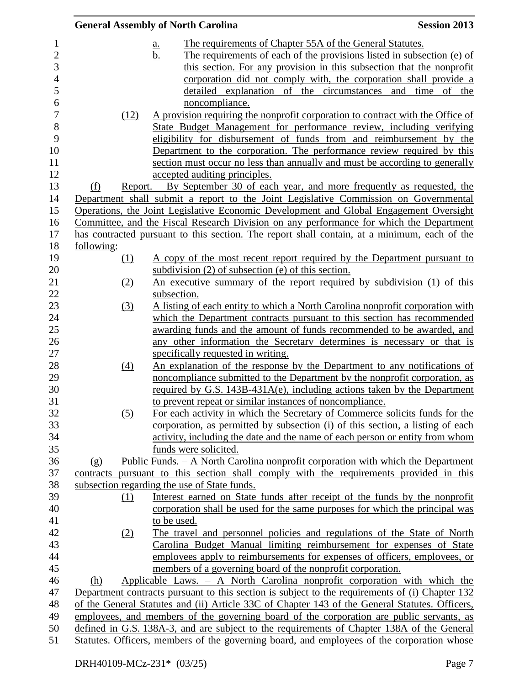|            | <b>General Assembly of North Carolina</b>                                                       | <b>Session 2013</b> |
|------------|-------------------------------------------------------------------------------------------------|---------------------|
|            | The requirements of Chapter 55A of the General Statutes.<br><u>a.</u>                           |                     |
|            | The requirements of each of the provisions listed in subsection (e) of<br><u>b.</u>             |                     |
|            | this section. For any provision in this subsection that the nonprofit                           |                     |
|            | corporation did not comply with, the corporation shall provide a                                |                     |
|            | detailed explanation of the circumstances                                                       | and time<br>of the  |
|            | noncompliance.                                                                                  |                     |
|            | (12)<br>A provision requiring the nonprofit corporation to contract with the Office of          |                     |
|            | State Budget Management for performance review, including verifying                             |                     |
|            | eligibility for disbursement of funds from and reimbursement by the                             |                     |
|            | Department to the corporation. The performance review required by this                          |                     |
|            | section must occur no less than annually and must be according to generally                     |                     |
|            | accepted auditing principles.                                                                   |                     |
| (f)        | <u>Report. – By September 30 of each year, and more frequently as requested, the</u>            |                     |
|            | Department shall submit a report to the Joint Legislative Commission on Governmental            |                     |
|            | Operations, the Joint Legislative Economic Development and Global Engagement Oversight          |                     |
|            | Committee, and the Fiscal Research Division on any performance for which the Department         |                     |
|            | has contracted pursuant to this section. The report shall contain, at a minimum, each of the    |                     |
| following: |                                                                                                 |                     |
| (1)        | <u>A copy of the most recent report required by the Department pursuant to</u>                  |                     |
|            | subdivision $(2)$ of subsection $(e)$ of this section.                                          |                     |
| (2)        | An executive summary of the report required by subdivision (1) of this                          |                     |
|            | subsection.                                                                                     |                     |
| (3)        | A listing of each entity to which a North Carolina nonprofit corporation with                   |                     |
|            | which the Department contracts pursuant to this section has recommended                         |                     |
|            | awarding funds and the amount of funds recommended to be awarded, and                           |                     |
|            | any other information the Secretary determines is necessary or that is                          |                     |
|            | specifically requested in writing.                                                              |                     |
| (4)        | An explanation of the response by the Department to any notifications of                        |                     |
|            | noncompliance submitted to the Department by the nonprofit corporation, as                      |                     |
|            | required by G.S. 143B-431A(e), including actions taken by the Department                        |                     |
|            | to prevent repeat or similar instances of noncompliance.                                        |                     |
| (5)        | For each activity in which the Secretary of Commerce solicits funds for the                     |                     |
|            | corporation, as permitted by subsection (i) of this section, a listing of each                  |                     |
|            | activity, including the date and the name of each person or entity from whom                    |                     |
|            | funds were solicited.                                                                           |                     |
| (g)        | Public Funds. - A North Carolina nonprofit corporation with which the Department                |                     |
|            | contracts pursuant to this section shall comply with the requirements provided in this          |                     |
|            | subsection regarding the use of State funds.                                                    |                     |
| (1)        | Interest earned on State funds after receipt of the funds by the nonprofit                      |                     |
|            | corporation shall be used for the same purposes for which the principal was                     |                     |
|            | to be used.                                                                                     |                     |
| (2)        | The travel and personnel policies and regulations of the State of North                         |                     |
|            | Carolina Budget Manual limiting reimbursement for expenses of State                             |                     |
|            | employees apply to reimbursements for expenses of officers, employees, or                       |                     |
|            | members of a governing board of the nonprofit corporation.                                      |                     |
| (h)        | Applicable Laws. - A North Carolina nonprofit corporation with which the                        |                     |
|            | Department contracts pursuant to this section is subject to the requirements of (i) Chapter 132 |                     |
|            | of the General Statutes and (ii) Article 33C of Chapter 143 of the General Statutes. Officers,  |                     |
|            | employees, and members of the governing board of the corporation are public servants, as        |                     |
|            | defined in G.S. 138A-3, and are subject to the requirements of Chapter 138A of the General      |                     |
|            | Statutes. Officers, members of the governing board, and employees of the corporation whose      |                     |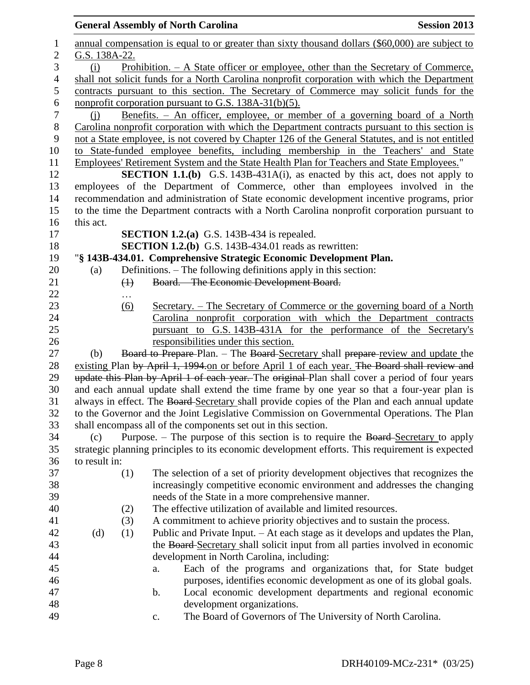|                  |               | <b>General Assembly of North Carolina</b>                                                                                                      | <b>Session 2013</b> |
|------------------|---------------|------------------------------------------------------------------------------------------------------------------------------------------------|---------------------|
| $\mathbf 1$      |               | annual compensation is equal to or greater than sixty thousand dollars (\$60,000) are subject to                                               |                     |
| $\overline{c}$   | G.S. 138A-22. |                                                                                                                                                |                     |
| 3                | (i)           | <u>Prohibition. – A State officer or employee, other than the Secretary of Commerce,</u>                                                       |                     |
| $\overline{4}$   |               | shall not solicit funds for a North Carolina nonprofit corporation with which the Department                                                   |                     |
| 5                |               | contracts pursuant to this section. The Secretary of Commerce may solicit funds for the                                                        |                     |
| $\epsilon$       |               | nonprofit corporation pursuant to G.S. 138A-31(b)(5).                                                                                          |                     |
| $\boldsymbol{7}$ | (i)           | <u>Benefits. – An officer, employee, or member of a governing board of a North</u>                                                             |                     |
| 8                |               | Carolina nonprofit corporation with which the Department contracts pursuant to this section is                                                 |                     |
| 9                |               | not a State employee, is not covered by Chapter 126 of the General Statutes, and is not entitled                                               |                     |
| 10               |               | to State-funded employee benefits, including membership in the Teachers' and State                                                             |                     |
| 11               |               | Employees' Retirement System and the State Health Plan for Teachers and State Employees."                                                      |                     |
| 12               |               | <b>SECTION 1.1.(b)</b> G.S. 143B-431A(i), as enacted by this act, does not apply to                                                            |                     |
| 13               |               | employees of the Department of Commerce, other than employees involved in the                                                                  |                     |
| 14               |               | recommendation and administration of State economic development incentive programs, prior                                                      |                     |
| 15               |               | to the time the Department contracts with a North Carolina nonprofit corporation pursuant to                                                   |                     |
| 16               | this act.     |                                                                                                                                                |                     |
| 17               |               | <b>SECTION 1.2.(a)</b> G.S. 143B-434 is repealed.                                                                                              |                     |
| 18               |               | <b>SECTION 1.2.(b)</b> G.S. 143B-434.01 reads as rewritten:                                                                                    |                     |
| 19               |               | "§ 143B-434.01. Comprehensive Strategic Economic Development Plan.                                                                             |                     |
| 20               | (a)           | Definitions. - The following definitions apply in this section:                                                                                |                     |
| 21<br>22         | $\bigoplus$   | Board. - The Economic Development Board.                                                                                                       |                     |
| 23               |               |                                                                                                                                                |                     |
| 24               | <u>(6)</u>    | Secretary. - The Secretary of Commerce or the governing board of a North<br>Carolina nonprofit corporation with which the Department contracts |                     |
| 25               |               | pursuant to G.S. 143B-431A for the performance of the Secretary's                                                                              |                     |
| 26               |               | responsibilities under this section.                                                                                                           |                     |
| 27               | (b)           | Board to Prepare-Plan. - The Board-Secretary shall prepare-review and update the                                                               |                     |
| 28               |               | existing Plan by April 1, 1994 on or before April 1 of each year. The Board shall review and                                                   |                     |
| 29               |               | update this Plan by April 1 of each year. The original Plan shall cover a period of four years                                                 |                     |
| 30               |               | and each annual update shall extend the time frame by one year so that a four-year plan is                                                     |                     |
| 31               |               | always in effect. The Board Secretary shall provide copies of the Plan and each annual update                                                  |                     |
| 32               |               | to the Governor and the Joint Legislative Commission on Governmental Operations. The Plan                                                      |                     |
| 33               |               | shall encompass all of the components set out in this section.                                                                                 |                     |
| 34               | (c)           | Purpose. – The purpose of this section is to require the Board-Secretary to apply                                                              |                     |
| 35               |               | strategic planning principles to its economic development efforts. This requirement is expected                                                |                     |
| 36               | to result in: |                                                                                                                                                |                     |
| 37               | (1)           | The selection of a set of priority development objectives that recognizes the                                                                  |                     |
| 38               |               | increasingly competitive economic environment and addresses the changing                                                                       |                     |
| 39               |               | needs of the State in a more comprehensive manner.                                                                                             |                     |
| 40               | (2)           | The effective utilization of available and limited resources.                                                                                  |                     |
| 41               | (3)           | A commitment to achieve priority objectives and to sustain the process.                                                                        |                     |
| 42               | (d)<br>(1)    | Public and Private Input. – At each stage as it develops and updates the Plan,                                                                 |                     |
| 43               |               | the Board-Secretary shall solicit input from all parties involved in economic                                                                  |                     |
| 44               |               | development in North Carolina, including:                                                                                                      |                     |
| 45               |               | Each of the programs and organizations that, for State budget<br>a.                                                                            |                     |
| 46               |               | purposes, identifies economic development as one of its global goals.                                                                          |                     |
| 47               |               | Local economic development departments and regional economic<br>$\mathbf b$ .                                                                  |                     |
| 48               |               | development organizations.                                                                                                                     |                     |
| 49               |               | The Board of Governors of The University of North Carolina.<br>$\mathbf{C}$ .                                                                  |                     |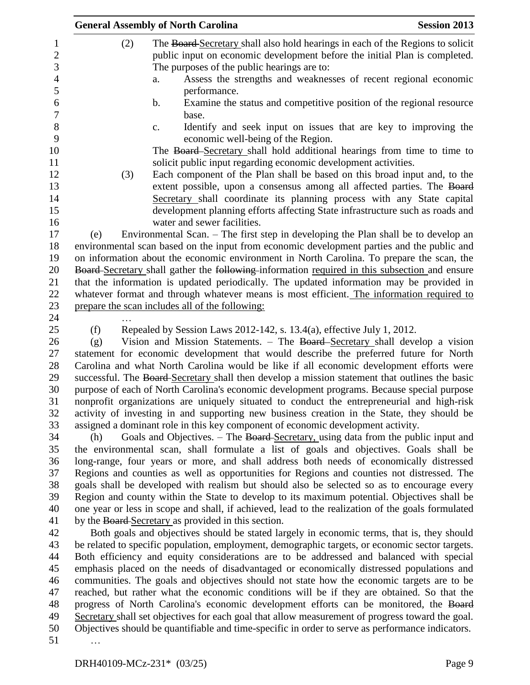|     | <b>General Assembly of North Carolina</b>                                                         | <b>Session 2013</b> |
|-----|---------------------------------------------------------------------------------------------------|---------------------|
| (2) | The Board-Secretary shall also hold hearings in each of the Regions to solicit                    |                     |
|     | public input on economic development before the initial Plan is completed.                        |                     |
|     | The purposes of the public hearings are to:                                                       |                     |
|     | Assess the strengths and weaknesses of recent regional economic<br>a.                             |                     |
|     | performance.                                                                                      |                     |
|     | Examine the status and competitive position of the regional resource<br>b.                        |                     |
|     | base.                                                                                             |                     |
|     | Identify and seek input on issues that are key to improving the<br>c.                             |                     |
|     | economic well-being of the Region.                                                                |                     |
|     | The Board Secretary shall hold additional hearings from time to time to                           |                     |
|     | solicit public input regarding economic development activities.                                   |                     |
| (3) | Each component of the Plan shall be based on this broad input and, to the                         |                     |
|     | extent possible, upon a consensus among all affected parties. The Board                           |                     |
|     | Secretary shall coordinate its planning process with any State capital                            |                     |
|     | development planning efforts affecting State infrastructure such as roads and                     |                     |
|     | water and sewer facilities.                                                                       |                     |
| (e) | Environmental Scan. – The first step in developing the Plan shall be to develop an                |                     |
|     | environmental scan based on the input from economic development parties and the public and        |                     |
|     | on information about the economic environment in North Carolina. To prepare the scan, the         |                     |
|     | Board-Secretary shall gather the following-information required in this subsection and ensure     |                     |
|     | that the information is updated periodically. The updated information may be provided in          |                     |
|     | whatever format and through whatever means is most efficient. The information required to         |                     |
|     | prepare the scan includes all of the following:                                                   |                     |
|     |                                                                                                   |                     |
| (f) | Repealed by Session Laws 2012-142, s. 13.4(a), effective July 1, 2012.                            |                     |
| (g) | Vision and Mission Statements. – The Board Secretary shall develop a vision                       |                     |
|     | statement for economic development that would describe the preferred future for North             |                     |
|     | Carolina and what North Carolina would be like if all economic development efforts were           |                     |
|     | successful. The Board-Secretary shall then develop a mission statement that outlines the basic    |                     |
|     | purpose of each of North Carolina's economic development programs. Because special purpose        |                     |
|     | nonprofit organizations are uniquely situated to conduct the entrepreneurial and high-risk        |                     |
|     | activity of investing in and supporting new business creation in the State, they should be        |                     |
|     | assigned a dominant role in this key component of economic development activity.                  |                     |
| (h) | Goals and Objectives. - The Board-Secretary, using data from the public input and                 |                     |
|     | the environmental scan, shall formulate a list of goals and objectives. Goals shall be            |                     |
|     | long-range, four years or more, and shall address both needs of economically distressed           |                     |
|     | Regions and counties as well as opportunities for Regions and counties not distressed. The        |                     |
|     | goals shall be developed with realism but should also be selected so as to encourage every        |                     |
|     | Region and county within the State to develop to its maximum potential. Objectives shall be       |                     |
|     | one year or less in scope and shall, if achieved, lead to the realization of the goals formulated |                     |
|     | by the Board-Secretary as provided in this section.                                               |                     |
|     | Both goals and objectives should be stated largely in economic terms, that is, they should        |                     |
|     | be related to specific population, employment, demographic targets, or economic sector targets.   |                     |
|     | Both efficiency and equity considerations are to be addressed and balanced with special           |                     |
|     | emphasis placed on the needs of disadvantaged or economically distressed populations and          |                     |
|     | communities. The goals and objectives should not state how the economic targets are to be         |                     |
|     | reached, but rather what the economic conditions will be if they are obtained. So that the        |                     |
|     | progress of North Carolina's economic development efforts can be monitored, the Board             |                     |
|     | Secretary shall set objectives for each goal that allow measurement of progress toward the goal.  |                     |
|     | Objectives should be quantifiable and time-specific in order to serve as performance indicators.  |                     |
|     |                                                                                                   |                     |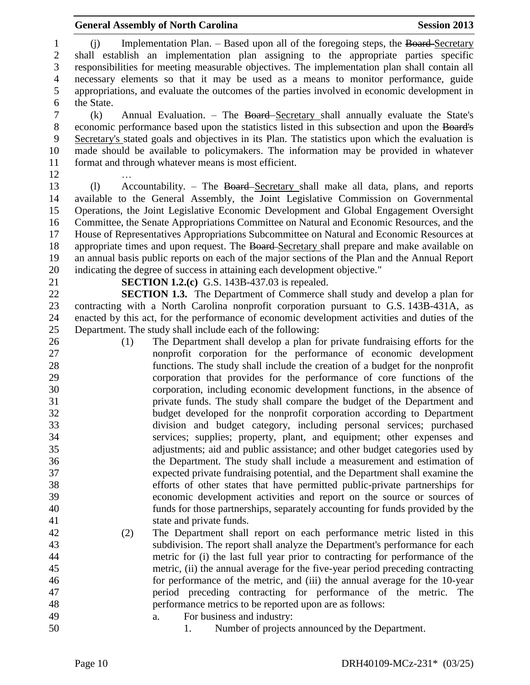1 (j) Implementation Plan. – Based upon all of the foregoing steps, the Board-Secretary shall establish an implementation plan assigning to the appropriate parties specific responsibilities for meeting measurable objectives. The implementation plan shall contain all necessary elements so that it may be used as a means to monitor performance, guide appropriations, and evaluate the outcomes of the parties involved in economic development in the State.

 (k) Annual Evaluation. – The Board Secretary shall annually evaluate the State's economic performance based upon the statistics listed in this subsection and upon the Board's Secretary's stated goals and objectives in its Plan. The statistics upon which the evaluation is made should be available to policymakers. The information may be provided in whatever format and through whatever means is most efficient.

…

 (l) Accountability. – The Board Secretary shall make all data, plans, and reports available to the General Assembly, the Joint Legislative Commission on Governmental Operations, the Joint Legislative Economic Development and Global Engagement Oversight Committee, the Senate Appropriations Committee on Natural and Economic Resources, and the House of Representatives Appropriations Subcommittee on Natural and Economic Resources at 18 appropriate times and upon request. The Board-Secretary shall prepare and make available on an annual basis public reports on each of the major sections of the Plan and the Annual Report indicating the degree of success in attaining each development objective."

 contracting with a North Carolina nonprofit corporation pursuant to G.S. 143B-431A, as enacted by this act, for the performance of economic development activities and duties of the

- nonprofit corporation for the performance of economic development functions. The study shall include the creation of a budget for the nonprofit corporation that provides for the performance of core functions of the corporation, including economic development functions, in the absence of private funds. The study shall compare the budget of the Department and budget developed for the nonprofit corporation according to Department division and budget category, including personal services; purchased services; supplies; property, plant, and equipment; other expenses and adjustments; aid and public assistance; and other budget categories used by the Department. The study shall include a measurement and estimation of expected private fundraising potential, and the Department shall examine the efforts of other states that have permitted public-private partnerships for economic development activities and report on the source or sources of funds for those partnerships, separately accounting for funds provided by the (2) The Department shall report on each performance metric listed in this
	-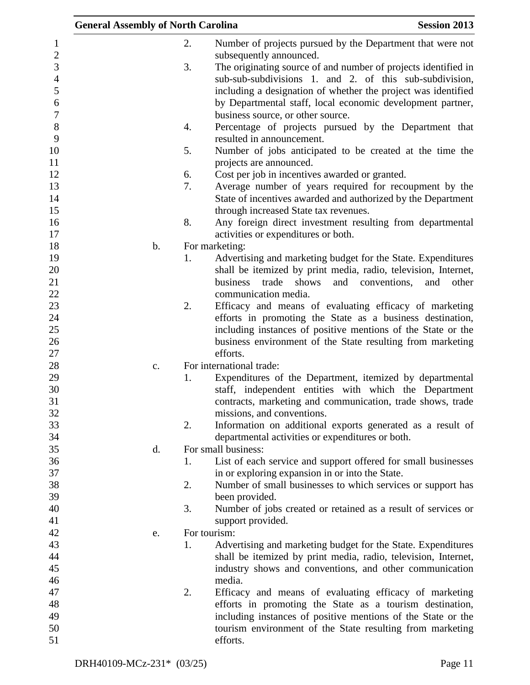|                | <b>General Assembly of North Carolina</b> | <b>Session 2013</b>                                                   |
|----------------|-------------------------------------------|-----------------------------------------------------------------------|
| $\mathbf{1}$   | 2.                                        | Number of projects pursued by the Department that were not            |
| $\sqrt{2}$     |                                           | subsequently announced.                                               |
| 3              | 3.                                        | The originating source of and number of projects identified in        |
| $\overline{4}$ |                                           | sub-sub-subdivisions 1. and 2. of this sub-subdivision,               |
| 5              |                                           | including a designation of whether the project was identified         |
| 6              |                                           | by Departmental staff, local economic development partner,            |
| $\overline{7}$ |                                           | business source, or other source.                                     |
| 8              | 4.                                        | Percentage of projects pursued by the Department that                 |
| 9              |                                           | resulted in announcement.                                             |
| 10             | 5.                                        | Number of jobs anticipated to be created at the time the              |
| 11             |                                           | projects are announced.                                               |
| 12             | 6.                                        | Cost per job in incentives awarded or granted.                        |
| 13             | 7.                                        | Average number of years required for recoupment by the                |
| 14             |                                           | State of incentives awarded and authorized by the Department          |
| 15             |                                           | through increased State tax revenues.                                 |
| 16             | 8.                                        | Any foreign direct investment resulting from departmental             |
| 17             |                                           | activities or expenditures or both.                                   |
| 18             | $\mathbf b$ .                             | For marketing:                                                        |
| 19             | 1.                                        | Advertising and marketing budget for the State. Expenditures          |
| 20             |                                           | shall be itemized by print media, radio, television, Internet,        |
| 21             |                                           | business trade<br>shows<br>and<br>conventions,<br>and<br>other        |
| 22             |                                           | communication media.                                                  |
| 23             | 2.                                        | Efficacy and means of evaluating efficacy of marketing                |
| 24             |                                           | efforts in promoting the State as a business destination,             |
| 25             |                                           | including instances of positive mentions of the State or the          |
| 26             |                                           | business environment of the State resulting from marketing            |
| 27<br>28       |                                           | efforts.<br>For international trade:                                  |
| 29             | c.<br>1.                                  | Expenditures of the Department, itemized by departmental              |
| 30             |                                           | staff, independent entities with which the Department                 |
| 31             |                                           | contracts, marketing and communication, trade shows, trade            |
| 32             |                                           | missions, and conventions.                                            |
| 33             | 2.                                        | Information on additional exports generated as a result of            |
| 34             |                                           | departmental activities or expenditures or both.                      |
| 35             | d.                                        | For small business:                                                   |
| 36             | 1.                                        | List of each service and support offered for small businesses         |
| 37             |                                           | in or exploring expansion in or into the State.                       |
| 38             | 2.                                        | Number of small businesses to which services or support has           |
| 39             |                                           | been provided.                                                        |
| 40             | 3.                                        | Number of jobs created or retained as a result of services or         |
| 41             |                                           | support provided.                                                     |
| 42             | e.                                        | For tourism:                                                          |
| 43             | 1.                                        | Advertising and marketing budget for the State. Expenditures          |
| 44             |                                           | shall be itemized by print media, radio, television, Internet,        |
| 45             |                                           | industry shows and conventions, and other communication               |
| 46             |                                           | media.                                                                |
| 47             | 2.                                        | Efficacy and means of evaluating efficacy of marketing                |
| 48             |                                           | efforts in promoting the State as a tourism destination,              |
| 49<br>50       |                                           | including instances of positive mentions of the State or the          |
| 51             |                                           | tourism environment of the State resulting from marketing<br>efforts. |
|                |                                           |                                                                       |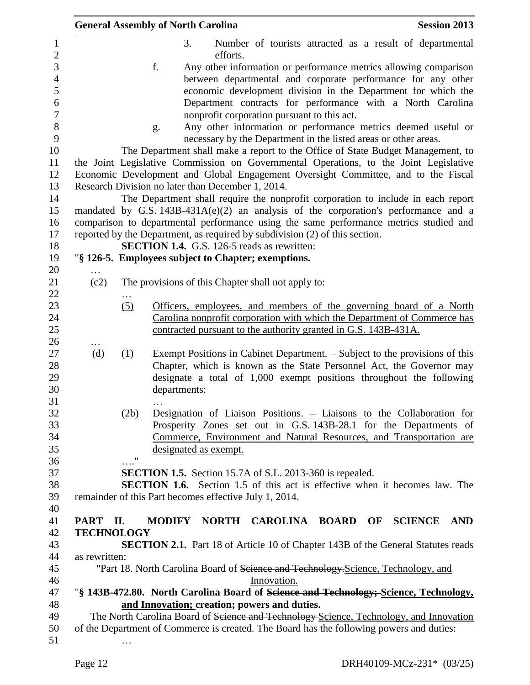|               |                    | <b>General Assembly of North Carolina</b>                                                                                                                                  | <b>Session 2013</b> |
|---------------|--------------------|----------------------------------------------------------------------------------------------------------------------------------------------------------------------------|---------------------|
|               |                    | 3.<br>Number of tourists attracted as a result of departmental                                                                                                             |                     |
|               |                    | efforts.                                                                                                                                                                   |                     |
|               |                    | f.<br>Any other information or performance metrics allowing comparison                                                                                                     |                     |
|               |                    | between departmental and corporate performance for any other                                                                                                               |                     |
|               |                    | economic development division in the Department for which the                                                                                                              |                     |
|               |                    | Department contracts for performance with a North Carolina                                                                                                                 |                     |
|               |                    | nonprofit corporation pursuant to this act.                                                                                                                                |                     |
|               |                    | Any other information or performance metrics deemed useful or<br>g.<br>necessary by the Department in the listed areas or other areas.                                     |                     |
|               |                    | The Department shall make a report to the Office of State Budget Management, to                                                                                            |                     |
|               |                    | the Joint Legislative Commission on Governmental Operations, to the Joint Legislative<br>Economic Development and Global Engagement Oversight Committee, and to the Fiscal |                     |
|               |                    | Research Division no later than December 1, 2014.                                                                                                                          |                     |
|               |                    | The Department shall require the nonprofit corporation to include in each report                                                                                           |                     |
|               |                    | mandated by G.S. $143B-431A(e)(2)$ an analysis of the corporation's performance and a                                                                                      |                     |
|               |                    | comparison to departmental performance using the same performance metrics studied and                                                                                      |                     |
|               |                    | reported by the Department, as required by subdivision (2) of this section.                                                                                                |                     |
|               |                    | <b>SECTION 1.4.</b> G.S. 126-5 reads as rewritten:                                                                                                                         |                     |
|               |                    | "§ 126-5. Employees subject to Chapter; exemptions.                                                                                                                        |                     |
|               |                    |                                                                                                                                                                            |                     |
| (c2)          |                    | The provisions of this Chapter shall not apply to:                                                                                                                         |                     |
|               |                    |                                                                                                                                                                            |                     |
|               | (5)                | Officers, employees, and members of the governing board of a North                                                                                                         |                     |
|               |                    | Carolina nonprofit corporation with which the Department of Commerce has                                                                                                   |                     |
|               |                    | contracted pursuant to the authority granted in G.S. 143B-431A.                                                                                                            |                     |
|               |                    |                                                                                                                                                                            |                     |
| (d)           | (1)                | Exempt Positions in Cabinet Department. – Subject to the provisions of this                                                                                                |                     |
|               |                    | Chapter, which is known as the State Personnel Act, the Governor may                                                                                                       |                     |
|               |                    | designate a total of 1,000 exempt positions throughout the following                                                                                                       |                     |
|               |                    | departments:                                                                                                                                                               |                     |
|               |                    |                                                                                                                                                                            |                     |
|               | (2b)               | Designation of Liaison Positions. – Liaisons to the Collaboration for                                                                                                      |                     |
|               |                    | Prosperity Zones set out in G.S. 143B-28.1 for the Departments of                                                                                                          |                     |
|               |                    | Commerce, Environment and Natural Resources, and Transportation are                                                                                                        |                     |
|               | $\pmb{\mathsf{H}}$ | designated as exempt.                                                                                                                                                      |                     |
|               |                    |                                                                                                                                                                            |                     |
|               |                    | SECTION 1.5. Section 15.7A of S.L. 2013-360 is repealed.                                                                                                                   |                     |
|               |                    | <b>SECTION 1.6.</b> Section 1.5 of this act is effective when it becomes law. The                                                                                          |                     |
|               |                    | remainder of this Part becomes effective July 1, 2014.                                                                                                                     |                     |
|               |                    |                                                                                                                                                                            |                     |
| PART II.      |                    | <b>MODIFY</b><br>NORTH CAROLINA BOARD OF SCIENCE                                                                                                                           | <b>AND</b>          |
|               | <b>TECHNOLOGY</b>  |                                                                                                                                                                            |                     |
|               |                    | <b>SECTION 2.1.</b> Part 18 of Article 10 of Chapter 143B of the General Statutes reads                                                                                    |                     |
| as rewritten: |                    |                                                                                                                                                                            |                     |
|               |                    | "Part 18. North Carolina Board of Science and Technology Science, Technology, and                                                                                          |                     |
|               |                    | Innovation.                                                                                                                                                                |                     |
|               |                    | "§ 143B-472.80. North Carolina Board of Science and Technology; Science, Technology,                                                                                       |                     |
|               |                    | and Innovation; creation; powers and duties.                                                                                                                               |                     |
|               |                    | The North Carolina Board of Science and Technology Science, Technology, and Innovation                                                                                     |                     |
|               |                    | of the Department of Commerce is created. The Board has the following powers and duties:                                                                                   |                     |
|               |                    |                                                                                                                                                                            |                     |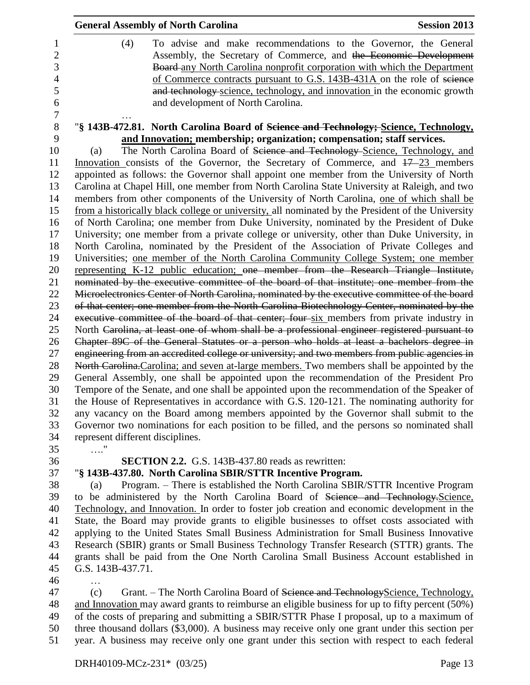| <b>General Assembly of North Carolina</b>                                                         | <b>Session 2013</b> |
|---------------------------------------------------------------------------------------------------|---------------------|
| (4)<br>To advise and make recommendations to the Governor, the General                            |                     |
| Assembly, the Secretary of Commerce, and the Economic Development                                 |                     |
| Board-any North Carolina nonprofit corporation with which the Department                          |                     |
| of Commerce contracts pursuant to G.S. 143B-431A on the role of science                           |                     |
| and technology science, technology, and innovation in the economic growth                         |                     |
| and development of North Carolina.                                                                |                     |
| "§ 143B-472.81. North Carolina Board of Science and Technology; Science, Technology,              |                     |
| and Innovation; membership; organization; compensation; staff services.                           |                     |
| The North Carolina Board of Science and Technology-Science, Technology, and<br>(a)                |                     |
| Innovation consists of the Governor, the Secretary of Commerce, and $17-23$ members               |                     |
| appointed as follows: the Governor shall appoint one member from the University of North          |                     |
| Carolina at Chapel Hill, one member from North Carolina State University at Raleigh, and two      |                     |
| members from other components of the University of North Carolina, one of which shall be          |                     |
| from a historically black college or university, all nominated by the President of the University |                     |
| of North Carolina; one member from Duke University, nominated by the President of Duke            |                     |
| University; one member from a private college or university, other than Duke University, in       |                     |
| North Carolina, nominated by the President of the Association of Private Colleges and             |                     |
| Universities; one member of the North Carolina Community College System; one member               |                     |
| representing K-12 public education; one member from the Research Triangle Institute,              |                     |
| nominated by the executive committee of the board of that institute; one member from the          |                     |
| Microelectronics Center of North Carolina, nominated by the executive committee of the board      |                     |
| of that center; one member from the North Carolina Biotechnology Center, nominated by the         |                     |
| executive committee of the board of that center; four six members from private industry in        |                     |
| North Carolina, at least one of whom shall be a professional engineer registered pursuant to      |                     |
| Chapter 89C of the General Statutes or a person who holds at least a bachelors degree in          |                     |
| engineering from an accredited college or university; and two members from public agencies in     |                     |
| North Carolina. Carolina; and seven at-large members. Two members shall be appointed by the       |                     |
| General Assembly, one shall be appointed upon the recommendation of the President Pro             |                     |
| Tempore of the Senate, and one shall be appointed upon the recommendation of the Speaker of       |                     |
| the House of Representatives in accordance with G.S. 120-121. The nominating authority for        |                     |
| any vacancy on the Board among members appointed by the Governor shall submit to the              |                     |
| Governor two nominations for each position to be filled, and the persons so nominated shall       |                     |
| represent different disciplines.                                                                  |                     |
| . <sup>.</sup>                                                                                    |                     |
| <b>SECTION 2.2.</b> G.S. 143B-437.80 reads as rewritten:                                          |                     |
| "§ 143B-437.80. North Carolina SBIR/STTR Incentive Program.                                       |                     |

 (a) Program. – There is established the North Carolina SBIR/STTR Incentive Program to be administered by the North Carolina Board of Science and Technology.Science, Technology, and Innovation. In order to foster job creation and economic development in the State, the Board may provide grants to eligible businesses to offset costs associated with applying to the United States Small Business Administration for Small Business Innovative Research (SBIR) grants or Small Business Technology Transfer Research (STTR) grants. The grants shall be paid from the One North Carolina Small Business Account established in G.S. 143B-437.71.

…

47 (c) Grant. – The North Carolina Board of Science and Technology Science, Technology, and Innovation may award grants to reimburse an eligible business for up to fifty percent (50%) of the costs of preparing and submitting a SBIR/STTR Phase I proposal, up to a maximum of three thousand dollars (\$3,000). A business may receive only one grant under this section per year. A business may receive only one grant under this section with respect to each federal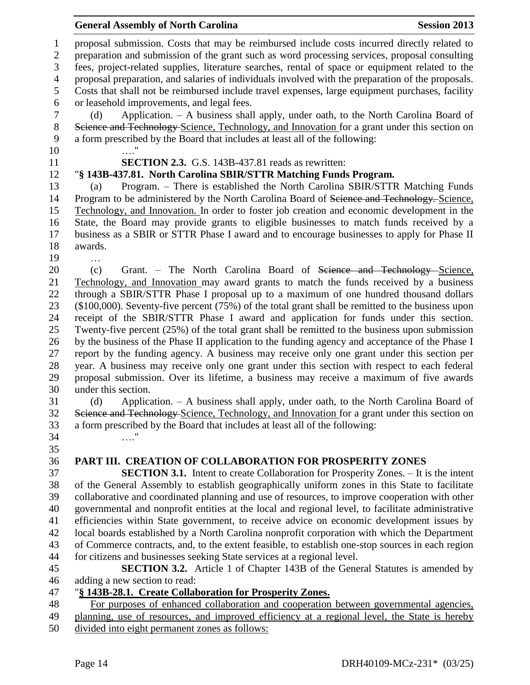|                                     | <b>General Assembly of North Carolina</b><br><b>Session 2013</b>                                                                                                                                                                                                                                  |  |
|-------------------------------------|---------------------------------------------------------------------------------------------------------------------------------------------------------------------------------------------------------------------------------------------------------------------------------------------------|--|
| $\mathbf{1}$<br>$\overline{2}$<br>3 | proposal submission. Costs that may be reimbursed include costs incurred directly related to<br>preparation and submission of the grant such as word processing services, proposal consulting<br>fees, project-related supplies, literature searches, rental of space or equipment related to the |  |
| $\overline{4}$<br>5                 | proposal preparation, and salaries of individuals involved with the preparation of the proposals.<br>Costs that shall not be reimbursed include travel expenses, large equipment purchases, facility                                                                                              |  |
| 6<br>$\tau$<br>$8\,$                | or leasehold improvements, and legal fees.<br>Application. - A business shall apply, under oath, to the North Carolina Board of<br>(d)<br>Science and Technology Science, Technology, and Innovation for a grant under this section on                                                            |  |
| 9<br>10                             | a form prescribed by the Board that includes at least all of the following:                                                                                                                                                                                                                       |  |
| 11                                  | <b>SECTION 2.3.</b> G.S. 143B-437.81 reads as rewritten:                                                                                                                                                                                                                                          |  |
| 12                                  | "§ 143B-437.81. North Carolina SBIR/STTR Matching Funds Program.                                                                                                                                                                                                                                  |  |
| 13                                  | Program. - There is established the North Carolina SBIR/STTR Matching Funds<br>(a)                                                                                                                                                                                                                |  |
| 14                                  | Program to be administered by the North Carolina Board of Science and Technology. Science,                                                                                                                                                                                                        |  |
| 15<br>16                            | Technology, and Innovation. In order to foster job creation and economic development in the<br>State, the Board may provide grants to eligible businesses to match funds received by a                                                                                                            |  |
| 17                                  | business as a SBIR or STTR Phase I award and to encourage businesses to apply for Phase II                                                                                                                                                                                                        |  |
| 18                                  | awards.                                                                                                                                                                                                                                                                                           |  |
| 19                                  |                                                                                                                                                                                                                                                                                                   |  |
| 20                                  | Grant. - The North Carolina Board of Science and Technology Science,<br>(c)                                                                                                                                                                                                                       |  |
| 21                                  | Technology, and Innovation may award grants to match the funds received by a business                                                                                                                                                                                                             |  |
| 22                                  | through a SBIR/STTR Phase I proposal up to a maximum of one hundred thousand dollars                                                                                                                                                                                                              |  |
| 23                                  | (\$100,000). Seventy-five percent (75%) of the total grant shall be remitted to the business upon                                                                                                                                                                                                 |  |
| 24<br>25                            | receipt of the SBIR/STTR Phase I award and application for funds under this section.<br>Twenty-five percent (25%) of the total grant shall be remitted to the business upon submission                                                                                                            |  |
| 26                                  | by the business of the Phase II application to the funding agency and acceptance of the Phase I                                                                                                                                                                                                   |  |
| 27                                  | report by the funding agency. A business may receive only one grant under this section per                                                                                                                                                                                                        |  |
| 28                                  | year. A business may receive only one grant under this section with respect to each federal                                                                                                                                                                                                       |  |
| 29                                  | proposal submission. Over its lifetime, a business may receive a maximum of five awards                                                                                                                                                                                                           |  |
| 30                                  | under this section.                                                                                                                                                                                                                                                                               |  |
| 31                                  | Application. - A business shall apply, under oath, to the North Carolina Board of<br>(d)                                                                                                                                                                                                          |  |
| 32<br>33                            | Science and Technology-Science, Technology, and Innovation for a grant under this section on<br>a form prescribed by the Board that includes at least all of the following:                                                                                                                       |  |
| 34                                  | . 1                                                                                                                                                                                                                                                                                               |  |
| 35                                  |                                                                                                                                                                                                                                                                                                   |  |
| 36                                  | PART III. CREATION OF COLLABORATION FOR PROSPERITY ZONES                                                                                                                                                                                                                                          |  |
| 37                                  | <b>SECTION 3.1.</b> Intent to create Collaboration for Prosperity Zones. - It is the intent                                                                                                                                                                                                       |  |
| 38                                  | of the General Assembly to establish geographically uniform zones in this State to facilitate                                                                                                                                                                                                     |  |
| 39                                  | collaborative and coordinated planning and use of resources, to improve cooperation with other                                                                                                                                                                                                    |  |
| 40<br>41                            | governmental and nonprofit entities at the local and regional level, to facilitate administrative<br>efficiencies within State government, to receive advice on economic development issues by                                                                                                    |  |
| 42                                  | local boards established by a North Carolina nonprofit corporation with which the Department                                                                                                                                                                                                      |  |
| 43                                  | of Commerce contracts, and, to the extent feasible, to establish one-stop sources in each region                                                                                                                                                                                                  |  |
| 44                                  | for citizens and businesses seeking State services at a regional level.                                                                                                                                                                                                                           |  |
| 45                                  | <b>SECTION 3.2.</b> Article 1 of Chapter 143B of the General Statutes is amended by                                                                                                                                                                                                               |  |
| 46                                  | adding a new section to read:                                                                                                                                                                                                                                                                     |  |
| 47                                  | "§ 143B-28.1. Create Collaboration for Prosperity Zones.                                                                                                                                                                                                                                          |  |
| 48<br>49<br>50                      | For purposes of enhanced collaboration and cooperation between governmental agencies,<br>planning, use of resources, and improved efficiency at a regional level, the State is hereby<br>divided into eight permanent zones as follows:                                                           |  |
|                                     |                                                                                                                                                                                                                                                                                                   |  |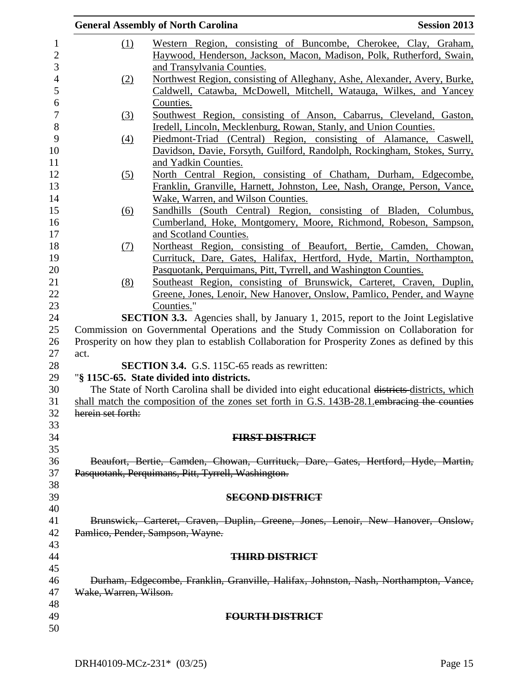|                                                                                                               | <b>General Assembly of North Carolina</b>                                                                                                                                             | <b>Session 2013</b> |  |  |
|---------------------------------------------------------------------------------------------------------------|---------------------------------------------------------------------------------------------------------------------------------------------------------------------------------------|---------------------|--|--|
| <u>(1)</u>                                                                                                    | Western Region, consisting of Buncombe, Cherokee, Clay, Graham,                                                                                                                       |                     |  |  |
|                                                                                                               | Haywood, Henderson, Jackson, Macon, Madison, Polk, Rutherford, Swain,                                                                                                                 |                     |  |  |
|                                                                                                               | and Transylvania Counties.                                                                                                                                                            |                     |  |  |
| (2)                                                                                                           | Northwest Region, consisting of Alleghany, Ashe, Alexander, Avery, Burke,                                                                                                             |                     |  |  |
|                                                                                                               | Caldwell, Catawba, McDowell, Mitchell, Watauga, Wilkes, and Yancey                                                                                                                    |                     |  |  |
|                                                                                                               | Counties.                                                                                                                                                                             |                     |  |  |
| (3)                                                                                                           | Southwest Region, consisting of Anson, Cabarrus, Cleveland, Gaston,                                                                                                                   |                     |  |  |
|                                                                                                               | Iredell, Lincoln, Mecklenburg, Rowan, Stanly, and Union Counties.                                                                                                                     |                     |  |  |
| (4)                                                                                                           | Piedmont-Triad (Central) Region, consisting of Alamance, Caswell,                                                                                                                     |                     |  |  |
|                                                                                                               | Davidson, Davie, Forsyth, Guilford, Randolph, Rockingham, Stokes, Surry,                                                                                                              |                     |  |  |
|                                                                                                               | and Yadkin Counties.                                                                                                                                                                  |                     |  |  |
| (5)                                                                                                           | North Central Region, consisting of Chatham, Durham, Edgecombe,                                                                                                                       |                     |  |  |
|                                                                                                               | Franklin, Granville, Harnett, Johnston, Lee, Nash, Orange, Person, Vance,                                                                                                             |                     |  |  |
|                                                                                                               | Wake, Warren, and Wilson Counties.                                                                                                                                                    |                     |  |  |
| <u>(6)</u>                                                                                                    | Sandhills (South Central) Region, consisting of Bladen, Columbus,                                                                                                                     |                     |  |  |
|                                                                                                               | Cumberland, Hoke, Montgomery, Moore, Richmond, Robeson, Sampson,                                                                                                                      |                     |  |  |
|                                                                                                               | and Scotland Counties.                                                                                                                                                                |                     |  |  |
| <u>(7)</u>                                                                                                    | Northeast Region, consisting of Beaufort, Bertie, Camden, Chowan,                                                                                                                     |                     |  |  |
|                                                                                                               | Currituck, Dare, Gates, Halifax, Hertford, Hyde, Martin, Northampton,                                                                                                                 |                     |  |  |
|                                                                                                               | Pasquotank, Perquimans, Pitt, Tyrrell, and Washington Counties.                                                                                                                       |                     |  |  |
| (8)                                                                                                           | Southeast Region, consisting of Brunswick, Carteret, Craven, Duplin,                                                                                                                  |                     |  |  |
|                                                                                                               | Greene, Jones, Lenoir, New Hanover, Onslow, Pamlico, Pender, and Wayne                                                                                                                |                     |  |  |
|                                                                                                               | Counties."                                                                                                                                                                            |                     |  |  |
|                                                                                                               | <b>SECTION 3.3.</b> Agencies shall, by January 1, 2015, report to the Joint Legislative                                                                                               |                     |  |  |
|                                                                                                               | Commission on Governmental Operations and the Study Commission on Collaboration for<br>Prosperity on how they plan to establish Collaboration for Prosperity Zones as defined by this |                     |  |  |
| act.                                                                                                          |                                                                                                                                                                                       |                     |  |  |
|                                                                                                               | <b>SECTION 3.4.</b> G.S. 115C-65 reads as rewritten:                                                                                                                                  |                     |  |  |
|                                                                                                               | "§ 115C-65. State divided into districts.                                                                                                                                             |                     |  |  |
| The State of North Carolina shall be divided into eight educational districts districts, which                |                                                                                                                                                                                       |                     |  |  |
|                                                                                                               | shall match the composition of the zones set forth in G.S. 143B-28.1 embracing the counties                                                                                           |                     |  |  |
| herein set forth:                                                                                             |                                                                                                                                                                                       |                     |  |  |
|                                                                                                               |                                                                                                                                                                                       |                     |  |  |
|                                                                                                               | <b>FIRST DISTRICT</b>                                                                                                                                                                 |                     |  |  |
|                                                                                                               |                                                                                                                                                                                       |                     |  |  |
|                                                                                                               | Beaufort, Bertie, Camden, Chowan, Currituck, Dare, Gates, Hertford, Hyde, Martin,                                                                                                     |                     |  |  |
|                                                                                                               | Pasquotank, Perquimans, Pitt, Tyrrell, Washington.                                                                                                                                    |                     |  |  |
|                                                                                                               |                                                                                                                                                                                       |                     |  |  |
|                                                                                                               | <b>SECOND DISTRICT</b>                                                                                                                                                                |                     |  |  |
|                                                                                                               |                                                                                                                                                                                       |                     |  |  |
|                                                                                                               | Brunswick, Carteret, Craven, Duplin, Greene, Jones, Lenoir, New Hanover, Onslow,                                                                                                      |                     |  |  |
| Pamlico, Pender, Sampson, Wayne.                                                                              |                                                                                                                                                                                       |                     |  |  |
|                                                                                                               |                                                                                                                                                                                       |                     |  |  |
|                                                                                                               | <b>THIRD DISTRICT</b>                                                                                                                                                                 |                     |  |  |
|                                                                                                               |                                                                                                                                                                                       |                     |  |  |
| Durham, Edgecombe, Franklin, Granville, Halifax, Johnston, Nash, Northampton, Vance,<br>Wake, Warren, Wilson. |                                                                                                                                                                                       |                     |  |  |
|                                                                                                               |                                                                                                                                                                                       |                     |  |  |
|                                                                                                               | <b>FOURTH DISTRICT</b>                                                                                                                                                                |                     |  |  |
|                                                                                                               |                                                                                                                                                                                       |                     |  |  |
|                                                                                                               |                                                                                                                                                                                       |                     |  |  |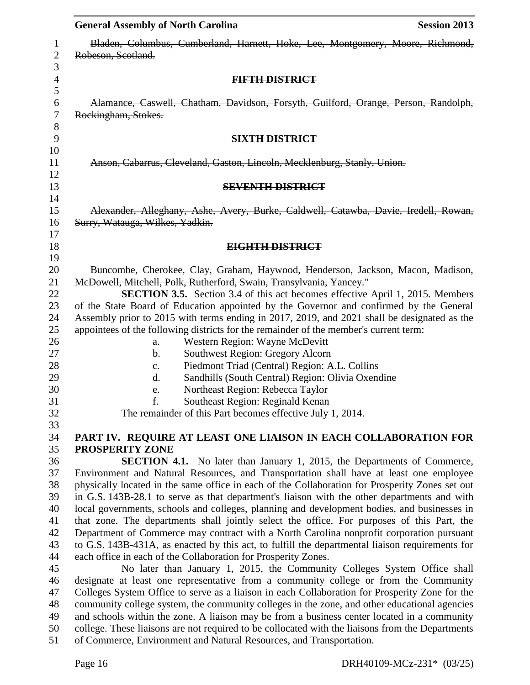| <b>General Assembly of North Carolina</b>                                                                                                                                      | <b>Session 2013</b> |  |  |  |  |
|--------------------------------------------------------------------------------------------------------------------------------------------------------------------------------|---------------------|--|--|--|--|
| Bladen, Columbus, Cumberland, Harnett, Hoke, Lee, Montgomery, Moore, Richmond,<br>Robeson, Scotland.                                                                           |                     |  |  |  |  |
| <b>FIFTH DISTRICT</b>                                                                                                                                                          |                     |  |  |  |  |
| Alamance, Caswell, Chatham, Davidson, Forsyth, Guilford, Orange, Person, Randolph,<br>Rockingham, Stokes.                                                                      |                     |  |  |  |  |
| <b>SIXTH DISTRICT</b>                                                                                                                                                          |                     |  |  |  |  |
| Anson, Cabarrus, Cleveland, Gaston, Lincoln, Mecklenburg, Stanly, Union.                                                                                                       |                     |  |  |  |  |
| <b>SEVENTH DISTRICT</b>                                                                                                                                                        |                     |  |  |  |  |
| Alexander, Alleghany, Ashe, Avery, Burke, Caldwell, Catawba, Davie, Iredell, Rowan,<br>Surry, Watauga, Wilkes, Yadkin.                                                         |                     |  |  |  |  |
| EIGHTH DISTRICT                                                                                                                                                                |                     |  |  |  |  |
|                                                                                                                                                                                |                     |  |  |  |  |
| Buncombe, Cherokee, Clay, Graham, Haywood, Henderson, Jackson, Macon, Madison,<br>McDowell, Mitchell, Polk, Rutherford, Swain, Transylvania, Yancey."                          |                     |  |  |  |  |
| <b>SECTION 3.5.</b> Section 3.4 of this act becomes effective April 1, 2015. Members<br>of the State Board of Education appointed by the Governor and confirmed by the General |                     |  |  |  |  |
| Assembly prior to 2015 with terms ending in 2017, 2019, and 2021 shall be designated as the                                                                                    |                     |  |  |  |  |
| appointees of the following districts for the remainder of the member's current term:                                                                                          |                     |  |  |  |  |
| Western Region: Wayne McDevitt<br>a.                                                                                                                                           |                     |  |  |  |  |
| Southwest Region: Gregory Alcorn<br>$\mathbf{b}$ .                                                                                                                             |                     |  |  |  |  |
| Piedmont Triad (Central) Region: A.L. Collins<br>$\mathbf{c}$ .                                                                                                                |                     |  |  |  |  |
| Sandhills (South Central) Region: Olivia Oxendine<br>$\mathbf{d}$ .                                                                                                            |                     |  |  |  |  |
| Northeast Region: Rebecca Taylor<br>e.                                                                                                                                         |                     |  |  |  |  |
| f.<br>Southeast Region: Reginald Kenan                                                                                                                                         |                     |  |  |  |  |
| The remainder of this Part becomes effective July 1, 2014.                                                                                                                     |                     |  |  |  |  |
|                                                                                                                                                                                |                     |  |  |  |  |
| PART IV. REQUIRE AT LEAST ONE LIAISON IN EACH COLLABORATION FOR                                                                                                                |                     |  |  |  |  |
| <b>PROSPERITY ZONE</b>                                                                                                                                                         |                     |  |  |  |  |
| <b>SECTION 4.1.</b> No later than January 1, 2015, the Departments of Commerce,                                                                                                |                     |  |  |  |  |
| Environment and Natural Resources, and Transportation shall have at least one employee                                                                                         |                     |  |  |  |  |
| physically located in the same office in each of the Collaboration for Prosperity Zones set out                                                                                |                     |  |  |  |  |
| in G.S. 143B-28.1 to serve as that department's liaison with the other departments and with                                                                                    |                     |  |  |  |  |
| local governments, schools and colleges, planning and development bodies, and businesses in                                                                                    |                     |  |  |  |  |
| that zone. The departments shall jointly select the office. For purposes of this Part, the                                                                                     |                     |  |  |  |  |
| Department of Commerce may contract with a North Carolina nonprofit corporation pursuant                                                                                       |                     |  |  |  |  |
| to G.S. 143B-431A, as enacted by this act, to fulfill the departmental liaison requirements for                                                                                |                     |  |  |  |  |
| each office in each of the Collaboration for Prosperity Zones.<br>No later than January 1, 2015, the Community Colleges System Office shall                                    |                     |  |  |  |  |
| designate at least one representative from a community college or from the Community                                                                                           |                     |  |  |  |  |
| Colleges System Office to serve as a liaison in each Collaboration for Prosperity Zone for the                                                                                 |                     |  |  |  |  |
| community college system, the community colleges in the zone, and other educational agencies                                                                                   |                     |  |  |  |  |
| and schools within the zone. A liaison may be from a business center located in a community                                                                                    |                     |  |  |  |  |
| college. These liaisons are not required to be collocated with the liaisons from the Departments                                                                               |                     |  |  |  |  |
| of Commerce, Environment and Natural Resources, and Transportation.                                                                                                            |                     |  |  |  |  |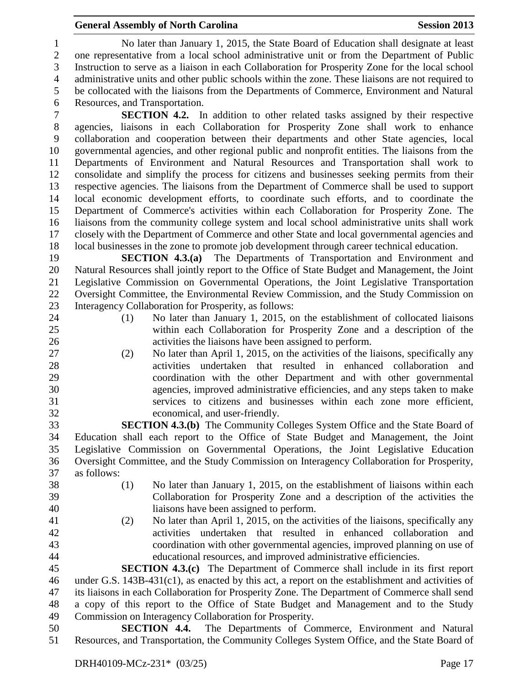## **General Assembly of North Carolina Session 2013**

 No later than January 1, 2015, the State Board of Education shall designate at least one representative from a local school administrative unit or from the Department of Public Instruction to serve as a liaison in each Collaboration for Prosperity Zone for the local school administrative units and other public schools within the zone. These liaisons are not required to be collocated with the liaisons from the Departments of Commerce, Environment and Natural Resources, and Transportation.

 **SECTION 4.2.** In addition to other related tasks assigned by their respective agencies, liaisons in each Collaboration for Prosperity Zone shall work to enhance collaboration and cooperation between their departments and other State agencies, local governmental agencies, and other regional public and nonprofit entities. The liaisons from the Departments of Environment and Natural Resources and Transportation shall work to consolidate and simplify the process for citizens and businesses seeking permits from their respective agencies. The liaisons from the Department of Commerce shall be used to support local economic development efforts, to coordinate such efforts, and to coordinate the Department of Commerce's activities within each Collaboration for Prosperity Zone. The liaisons from the community college system and local school administrative units shall work closely with the Department of Commerce and other State and local governmental agencies and local businesses in the zone to promote job development through career technical education.

 **SECTION 4.3.(a)** The Departments of Transportation and Environment and Natural Resources shall jointly report to the Office of State Budget and Management, the Joint Legislative Commission on Governmental Operations, the Joint Legislative Transportation Oversight Committee, the Environmental Review Commission, and the Study Commission on Interagency Collaboration for Prosperity, as follows:

- 
- 

 (1) No later than January 1, 2015, on the establishment of collocated liaisons within each Collaboration for Prosperity Zone and a description of the activities the liaisons have been assigned to perform.

 (2) No later than April 1, 2015, on the activities of the liaisons, specifically any activities undertaken that resulted in enhanced collaboration and coordination with the other Department and with other governmental agencies, improved administrative efficiencies, and any steps taken to make services to citizens and businesses within each zone more efficient, economical, and user-friendly.

 **SECTION 4.3.(b)** The Community Colleges System Office and the State Board of Education shall each report to the Office of State Budget and Management, the Joint Legislative Commission on Governmental Operations, the Joint Legislative Education Oversight Committee, and the Study Commission on Interagency Collaboration for Prosperity, as follows:

- 
- (1) No later than January 1, 2015, on the establishment of liaisons within each Collaboration for Prosperity Zone and a description of the activities the liaisons have been assigned to perform.
- 

 (2) No later than April 1, 2015, on the activities of the liaisons, specifically any activities undertaken that resulted in enhanced collaboration and coordination with other governmental agencies, improved planning on use of educational resources, and improved administrative efficiencies.

 **SECTION 4.3.(c)** The Department of Commerce shall include in its first report under G.S. 143B-431(c1), as enacted by this act, a report on the establishment and activities of its liaisons in each Collaboration for Prosperity Zone. The Department of Commerce shall send a copy of this report to the Office of State Budget and Management and to the Study Commission on Interagency Collaboration for Prosperity.

 **SECTION 4.4.** The Departments of Commerce, Environment and Natural Resources, and Transportation, the Community Colleges System Office, and the State Board of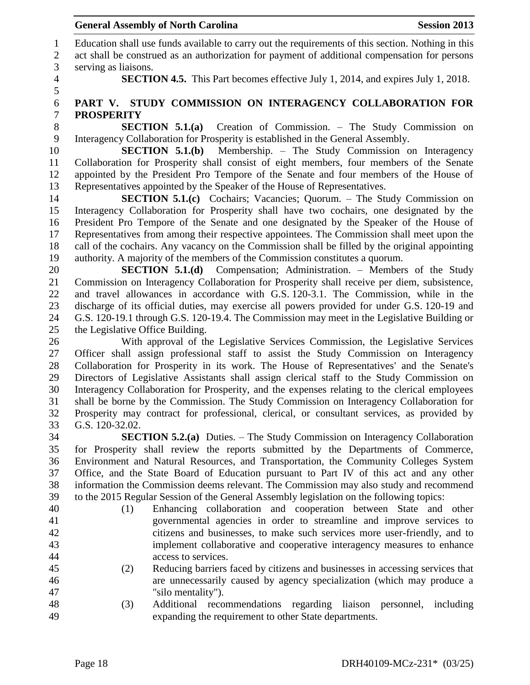Education shall use funds available to carry out the requirements of this section. Nothing in this act shall be construed as an authorization for payment of additional compensation for persons serving as liaisons.

**SECTION 4.5.** This Part becomes effective July 1, 2014, and expires July 1, 2018.

## **PART V. STUDY COMMISSION ON INTERAGENCY COLLABORATION FOR PROSPERITY**

 **SECTION 5.1.(a)** Creation of Commission. – The Study Commission on Interagency Collaboration for Prosperity is established in the General Assembly.

 **SECTION 5.1.(b)** Membership. – The Study Commission on Interagency Collaboration for Prosperity shall consist of eight members, four members of the Senate appointed by the President Pro Tempore of the Senate and four members of the House of Representatives appointed by the Speaker of the House of Representatives.

**SECTION 5.1.(c)** Cochairs; Vacancies; Quorum. – The Study Commission on Interagency Collaboration for Prosperity shall have two cochairs, one designated by the President Pro Tempore of the Senate and one designated by the Speaker of the House of Representatives from among their respective appointees. The Commission shall meet upon the call of the cochairs. Any vacancy on the Commission shall be filled by the original appointing authority. A majority of the members of the Commission constitutes a quorum.

 **SECTION 5.1.(d)** Compensation; Administration. – Members of the Study Commission on Interagency Collaboration for Prosperity shall receive per diem, subsistence, and travel allowances in accordance with G.S. 120-3.1. The Commission, while in the discharge of its official duties, may exercise all powers provided for under G.S. 120-19 and G.S. 120-19.1 through G.S. 120-19.4. The Commission may meet in the Legislative Building or the Legislative Office Building.

 With approval of the Legislative Services Commission, the Legislative Services Officer shall assign professional staff to assist the Study Commission on Interagency Collaboration for Prosperity in its work. The House of Representatives' and the Senate's Directors of Legislative Assistants shall assign clerical staff to the Study Commission on Interagency Collaboration for Prosperity, and the expenses relating to the clerical employees shall be borne by the Commission. The Study Commission on Interagency Collaboration for Prosperity may contract for professional, clerical, or consultant services, as provided by G.S. 120-32.02.

 **SECTION 5.2.(a)** Duties. – The Study Commission on Interagency Collaboration for Prosperity shall review the reports submitted by the Departments of Commerce, Environment and Natural Resources, and Transportation, the Community Colleges System Office, and the State Board of Education pursuant to Part IV of this act and any other information the Commission deems relevant. The Commission may also study and recommend to the 2015 Regular Session of the General Assembly legislation on the following topics:

- 
- 
- (1) Enhancing collaboration and cooperation between State and other governmental agencies in order to streamline and improve services to citizens and businesses, to make such services more user-friendly, and to implement collaborative and cooperative interagency measures to enhance access to services.
- (2) Reducing barriers faced by citizens and businesses in accessing services that are unnecessarily caused by agency specialization (which may produce a "silo mentality").
- (3) Additional recommendations regarding liaison personnel, including expanding the requirement to other State departments.